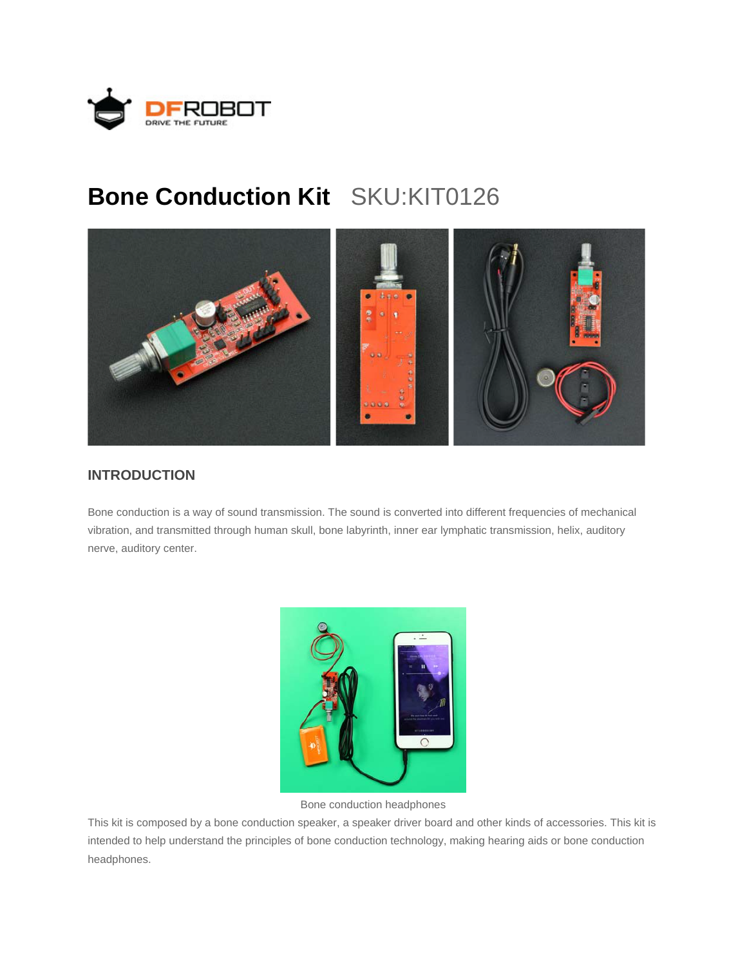

## **Bone Conduction Kit** SKU:KIT0126



## **INTRODUCTION**

Bone conduction is a way of sound transmission. The sound is converted into different frequencies of mechanical vibration, and transmitted through human skull, bone labyrinth, inner ear lymphatic transmission, helix, auditory nerve, auditory center.



Bone conduction headphones

This kit is composed by a bone conduction speaker, a speaker driver board and other kinds of accessories. This kit is intended to help understand the principles of bone conduction technology, making hearing aids or bone conduction headphones.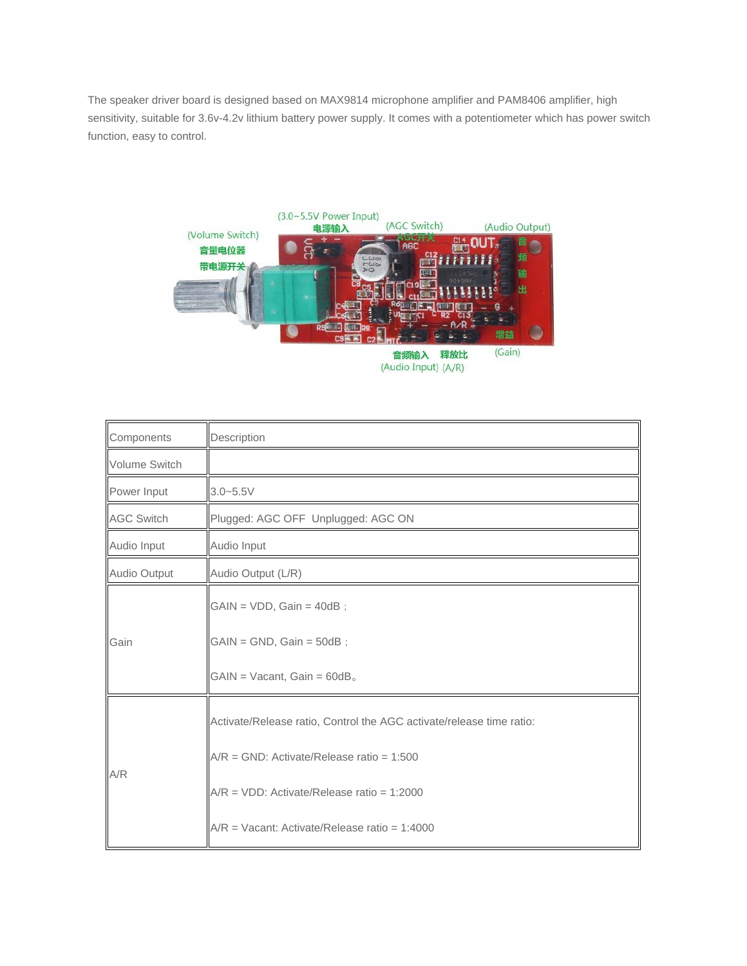The speaker driver board is designed based on MAX9814 microphone amplifier and PAM8406 amplifier, high sensitivity, suitable for 3.6v-4.2v lithium battery power supply. It comes with a potentiometer which has power switch function, easy to control.



| Components           | Description                                                          |
|----------------------|----------------------------------------------------------------------|
| <b>Volume Switch</b> |                                                                      |
| Power Input          | $3.0 - 5.5V$                                                         |
| <b>AGC Switch</b>    | Plugged: AGC OFF Unplugged: AGC ON                                   |
| Audio Input          | Audio Input                                                          |
| Audio Output         | Audio Output (L/R)                                                   |
| Gain                 | $GAIN = VDD$ , $Gain = 40dB$ ;                                       |
|                      | $GAIN = GND$ , $Gain = 50dB$ ;                                       |
|                      | $GAIN = Vacant$ , $Gain = 60dB$ .                                    |
| A/R                  | Activate/Release ratio, Control the AGC activate/release time ratio: |
|                      | $A/R = GND$ : Activate/Release ratio = 1:500                         |
|                      | $A/R = VDD$ : Activate/Release ratio = 1:2000                        |
|                      | $A/R =$ Vacant: Activate/Release ratio = 1:4000                      |